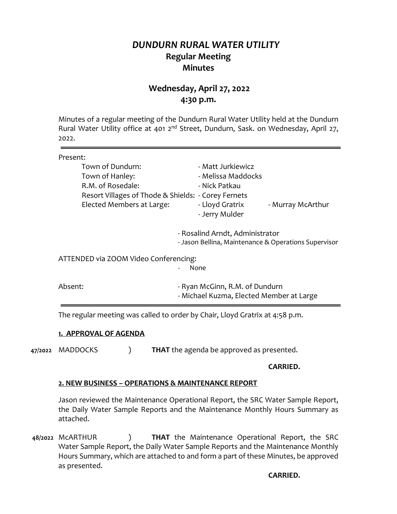# *DUNDURN RURAL WATER UTILITY* **Regular Meeting Minutes**

# **Wednesday, April 27, 2022 4:30 p.m.**

Minutes of a regular meeting of the Dundurn Rural Water Utility held at the Dundurn Rural Water Utility office at 401 2<sup>nd</sup> Street, Dundurn, Sask. on Wednesday, April 27, 2022.

| Present:                                            |                                                                                         |
|-----------------------------------------------------|-----------------------------------------------------------------------------------------|
| Town of Dundurn:                                    | - Matt Jurkiewicz                                                                       |
| Town of Hanley:                                     | - Melissa Maddocks                                                                      |
| R.M. of Rosedale:                                   | - Nick Patkau                                                                           |
| Resort Villages of Thode & Shields: - Corey Fernets |                                                                                         |
| Elected Members at Large:                           | - Lloyd Gratrix<br>- Murray McArthur<br>- Jerry Mulder                                  |
|                                                     | - Rosalind Arndt, Administrator<br>- Jason Bellina, Maintenance & Operations Supervisor |
| ATTENDED via ZOOM Video Conferencing:               | None                                                                                    |
| Absent:                                             | - Ryan McGinn, R.M. of Dundurn<br>- Michael Kuzma, Elected Member at Large              |

The regular meeting was called to order by Chair, Lloyd Gratrix at 4:58 p.m.

### **1. APPROVAL OF AGENDA**

**47/2022** MADDOCKS ) **THAT** the agenda be approved as presented.

#### **CARRIED.**

### **2. NEW BUSINESS – OPERATIONS & MAINTENANCE REPORT**

Jason reviewed the Maintenance Operational Report, the SRC Water Sample Report, the Daily Water Sample Reports and the Maintenance Monthly Hours Summary as attached.

**48/2022** McARTHUR ) **THAT** the Maintenance Operational Report, the SRC Water Sample Report, the Daily Water Sample Reports and the Maintenance Monthly Hours Summary, which are attached to and form a part of these Minutes, be approved as presented.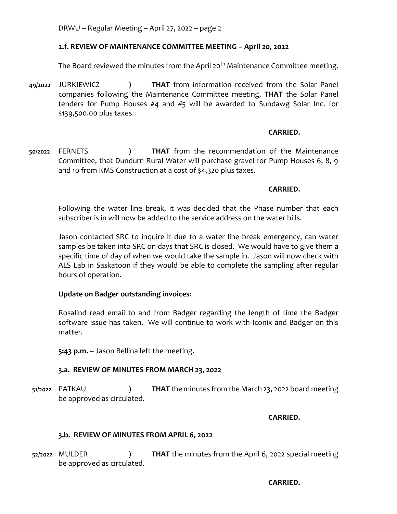DRWU – Regular Meeting – April 27, 2022 – page 2

# **2.f. REVIEW OF MAINTENANCE COMMITTEE MEETING – April 20, 2022**

The Board reviewed the minutes from the April 20<sup>th</sup> Maintenance Committee meeting.

**49/2022** JURKIEWICZ ) **THAT** from information received from the Solar Panel companies following the Maintenance Committee meeting, **THAT** the Solar Panel tenders for Pump Houses #4 and #5 will be awarded to Sundawg Solar Inc. for \$139,500.00 plus taxes.

### **CARRIED.**

**50/2022** FERNETS ) **THAT** from the recommendation of the Maintenance Committee, that Dundurn Rural Water will purchase gravel for Pump Houses 6, 8, 9 and 10 from KMS Construction at a cost of \$4,320 plus taxes.

### **CARRIED.**

Following the water line break, it was decided that the Phase number that each subscriber is in will now be added to the service address on the water bills.

Jason contacted SRC to inquire if due to a water line break emergency, can water samples be taken into SRC on days that SRC is closed. We would have to give them a specific time of day of when we would take the sample in. Jason will now check with ALS Lab in Saskatoon if they would be able to complete the sampling after regular hours of operation.

# **Update on Badger outstanding invoices:**

Rosalind read email to and from Badger regarding the length of time the Badger software issue has taken. We will continue to work with Iconix and Badger on this matter.

**5:43 p.m.** – Jason Bellina left the meeting.

### **3.a. REVIEW OF MINUTES FROM MARCH 23, 2022**

**51/2022** PATKAU ) **THAT** the minutes from the March 23, 2022 board meeting be approved as circulated.

**CARRIED.**

### **3.b. REVIEW OF MINUTES FROM APRIL 6, 2022**

**52/2022** MULDER ) **THAT** the minutes from the April 6, 2022 special meeting be approved as circulated.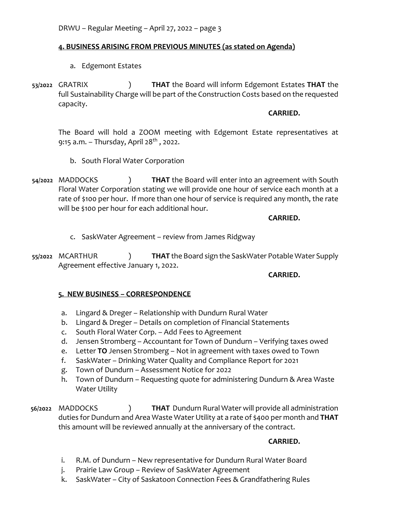# **4. BUSINESS ARISING FROM PREVIOUS MINUTES (as stated on Agenda)**

- a. Edgemont Estates
- **53/2022** GRATRIX ) **THAT** the Board will inform Edgemont Estates **THAT** the full Sustainability Charge will be part of the Construction Costs based on the requested capacity.

#### **CARRIED.**

The Board will hold a ZOOM meeting with Edgemont Estate representatives at 9:15 a.m. – Thursday, April  $28^{th}$ , 2022.

- b. South Floral Water Corporation
- **54/2022** MADDOCKS ) **THAT** the Board will enter into an agreement with South Floral Water Corporation stating we will provide one hour of service each month at a rate of \$100 per hour. If more than one hour of service is required any month, the rate will be \$100 per hour for each additional hour.

# **CARRIED.**

- c. SaskWater Agreement review from James Ridgway
- **55/2022** MCARTHUR ) **THAT** the Board sign the SaskWater Potable Water Supply Agreement effective January 1, 2022.

### **CARRIED.**

# **5. NEW BUSINESS – CORRESPONDENCE**

- a. Lingard & Dreger Relationship with Dundurn Rural Water
- b. Lingard & Dreger Details on completion of Financial Statements
- c. South Floral Water Corp. Add Fees to Agreement
- d. Jensen Stromberg Accountant for Town of Dundurn Verifying taxes owed
- e. Letter **TO** Jensen Stromberg Not in agreement with taxes owed to Town
- f. SaskWater Drinking Water Quality and Compliance Report for 2021
- g. Town of Dundurn Assessment Notice for 2022
- h. Town of Dundurn Requesting quote for administering Dundurn & Area Waste Water Utility

**56/2022** MADDOCKS ) **THAT** Dundurn Rural Water will provide all administration duties for Dundurn and Area Waste Water Utility at a rate of \$400 per month and **THAT**  this amount will be reviewed annually at the anniversary of the contract.

- i. R.M. of Dundurn New representative for Dundurn Rural Water Board
- j. Prairie Law Group Review of SaskWater Agreement
- k. SaskWater City of Saskatoon Connection Fees & Grandfathering Rules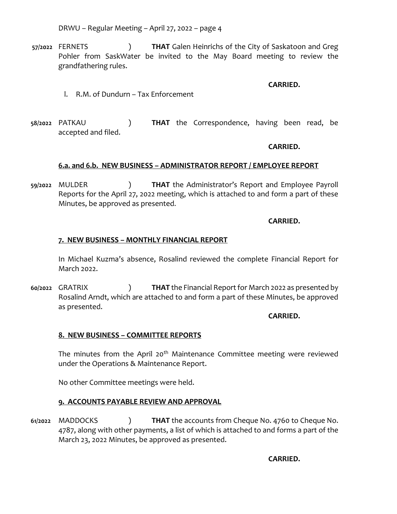DRWU – Regular Meeting – April 27, 2022 – page 4

**57/2022** FERNETS ) **THAT** Galen Heinrichs of the City of Saskatoon and Greg Pohler from SaskWater be invited to the May Board meeting to review the grandfathering rules.

**CARRIED.**

- l. R.M. of Dundurn Tax Enforcement
- **58/2022** PATKAU ) **THAT** the Correspondence, having been read, be accepted and filed.

### **CARRIED.**

# **6.a. and 6.b. NEW BUSINESS – ADMINISTRATOR REPORT / EMPLOYEE REPORT**

**59/2022** MULDER ) **THAT** the Administrator's Report and Employee Payroll Reports for the April 27, 2022 meeting, which is attached to and form a part of these Minutes, be approved as presented.

# **CARRIED.**

# **7. NEW BUSINESS – MONTHLY FINANCIAL REPORT**

In Michael Kuzma's absence, Rosalind reviewed the complete Financial Report for March 2022.

**60/2022** GRATRIX ) **THAT** the Financial Report for March 2022 as presented by Rosalind Arndt, which are attached to and form a part of these Minutes, be approved as presented.

### **CARRIED.**

# **8. NEW BUSINESS – COMMITTEE REPORTS**

The minutes from the April 20<sup>th</sup> Maintenance Committee meeting were reviewed under the Operations & Maintenance Report.

No other Committee meetings were held.

# **9. ACCOUNTS PAYABLE REVIEW AND APPROVAL**

**61/2022** MADDOCKS ) **THAT** the accounts from Cheque No. 4760 to Cheque No. 4787, along with other payments, a list of which is attached to and forms a part of the March 23, 2022 Minutes, be approved as presented.